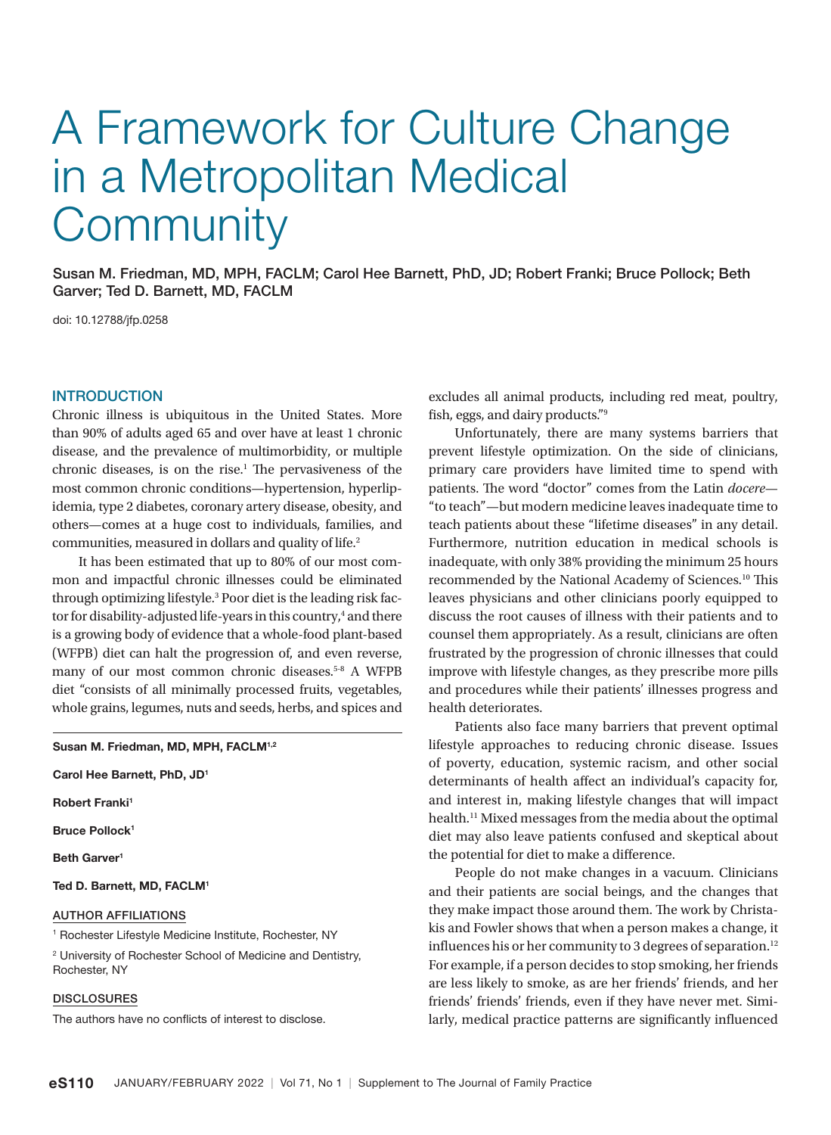# A Framework for Culture Change in a Metropolitan Medical **Community**

Susan M. Friedman, MD, MPH, FACLM; Carol Hee Barnett, PhD, JD; Robert Franki; Bruce Pollock; Beth Garver; Ted D. Barnett, MD, FACLM

doi: 10.12788/jfp.0258

#### **INTRODUCTION**

Chronic illness is ubiquitous in the United States. More than 90% of adults aged 65 and over have at least 1 chronic disease, and the prevalence of multimorbidity, or multiple chronic diseases, is on the rise.<sup>1</sup> The pervasiveness of the most common chronic conditions—hypertension, hyperlipidemia, type 2 diabetes, coronary artery disease, obesity, and others—comes at a huge cost to individuals, families, and communities, measured in dollars and quality of life.<sup>2</sup>

It has been estimated that up to 80% of our most common and impactful chronic illnesses could be eliminated through optimizing lifestyle.3 Poor diet is the leading risk factor for disability-adjusted life-years in this country,<sup>4</sup> and there is a growing body of evidence that a whole-food plant-based (WFPB) diet can halt the progression of, and even reverse, many of our most common chronic diseases.<sup>5-8</sup> A WFPB diet "consists of all minimally processed fruits, vegetables, whole grains, legumes, nuts and seeds, herbs, and spices and

Susan M. Friedman, MD, MPH, FACLM<sup>1,2</sup>

Carol Hee Barnett, PhD, JD1

Robert Franki<sup>1</sup>

Bruce Pollock1

Beth Garver<sup>1</sup>

Ted D. Barnett, MD, FACLM<sup>1</sup>

# AUTHOR AFFILIATIONS

<sup>1</sup> Rochester Lifestyle Medicine Institute, Rochester, NY

2 University of Rochester School of Medicine and Dentistry, Rochester, NY

## DISCLOSURES

The authors have no conflicts of interest to disclose.

excludes all animal products, including red meat, poultry, fish, eggs, and dairy products."<sup>9</sup>

Unfortunately, there are many systems barriers that prevent lifestyle optimization. On the side of clinicians, primary care providers have limited time to spend with patients. The word "doctor" comes from the Latin *docere*— "to teach"—but modern medicine leaves inadequate time to teach patients about these "lifetime diseases" in any detail. Furthermore, nutrition education in medical schools is inadequate, with only 38% providing the minimum 25 hours recommended by the National Academy of Sciences.<sup>10</sup> This leaves physicians and other clinicians poorly equipped to discuss the root causes of illness with their patients and to counsel them appropriately. As a result, clinicians are often frustrated by the progression of chronic illnesses that could improve with lifestyle changes, as they prescribe more pills and procedures while their patients' illnesses progress and health deteriorates.

Patients also face many barriers that prevent optimal lifestyle approaches to reducing chronic disease. Issues of poverty, education, systemic racism, and other social determinants of health affect an individual's capacity for, and interest in, making lifestyle changes that will impact health.11 Mixed messages from the media about the optimal diet may also leave patients confused and skeptical about the potential for diet to make a difference.

People do not make changes in a vacuum. Clinicians and their patients are social beings, and the changes that they make impact those around them. The work by Christakis and Fowler shows that when a person makes a change, it influences his or her community to 3 degrees of separation.<sup>12</sup> For example, if a person decides to stop smoking, her friends are less likely to smoke, as are her friends' friends, and her friends' friends' friends, even if they have never met. Similarly, medical practice patterns are significantly influenced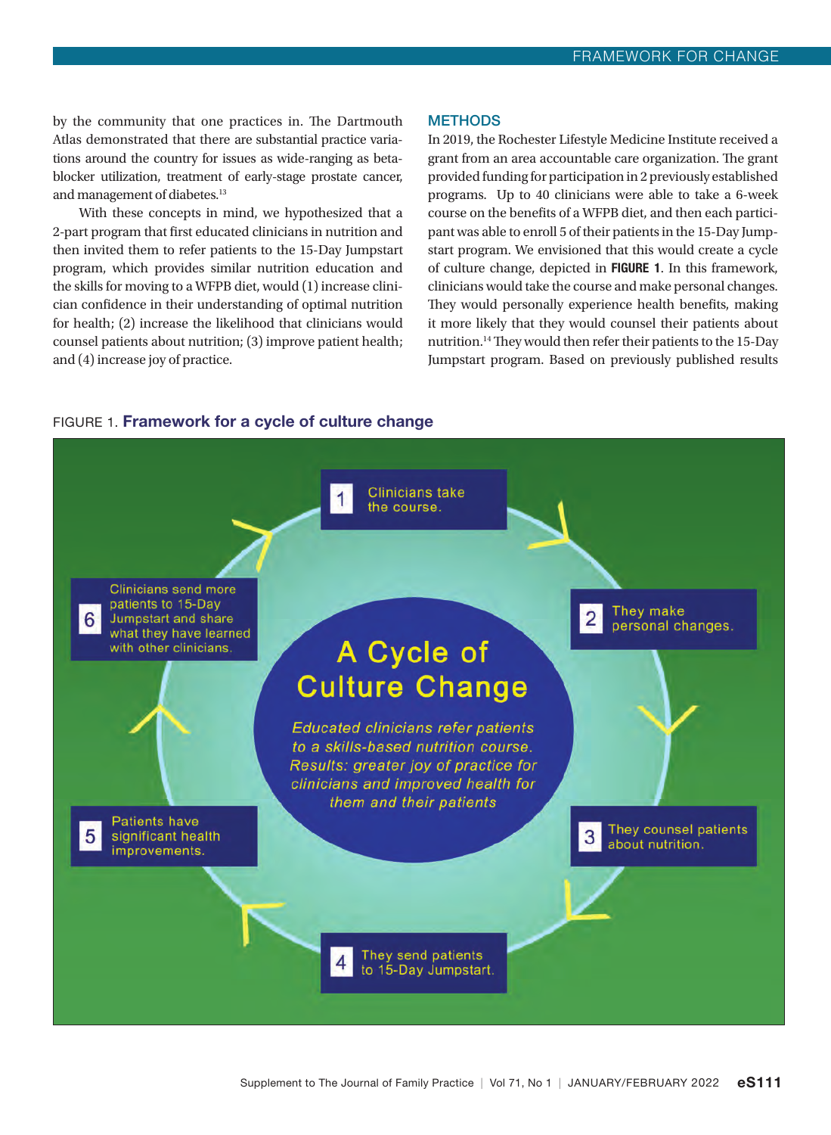by the community that one practices in. The Dartmouth Atlas demonstrated that there are substantial practice variations around the country for issues as wide-ranging as betablocker utilization, treatment of early-stage prostate cancer, and management of diabetes.<sup>13</sup>

With these concepts in mind, we hypothesized that a 2-part program that first educated clinicians in nutrition and then invited them to refer patients to the 15-Day Jumpstart program, which provides similar nutrition education and the skills for moving to a WFPB diet, would (1) increase clinician confidence in their understanding of optimal nutrition for health; (2) increase the likelihood that clinicians would counsel patients about nutrition; (3) improve patient health; and (4) increase joy of practice.

#### **METHODS**

In 2019, the Rochester Lifestyle Medicine Institute received a grant from an area accountable care organization. The grant provided funding for participation in 2 previously established programs. Up to 40 clinicians were able to take a 6-week course on the benefits of a WFPB diet, and then each participant was able to enroll 5 of their patients in the 15-Day Jumpstart program. We envisioned that this would create a cycle of culture change, depicted in FIGURE 1. In this framework, clinicians would take the course and make personal changes. They would personally experience health benefits, making it more likely that they would counsel their patients about nutrition.<sup>14</sup> They would then refer their patients to the 15-Day Jumpstart program. Based on previously published results



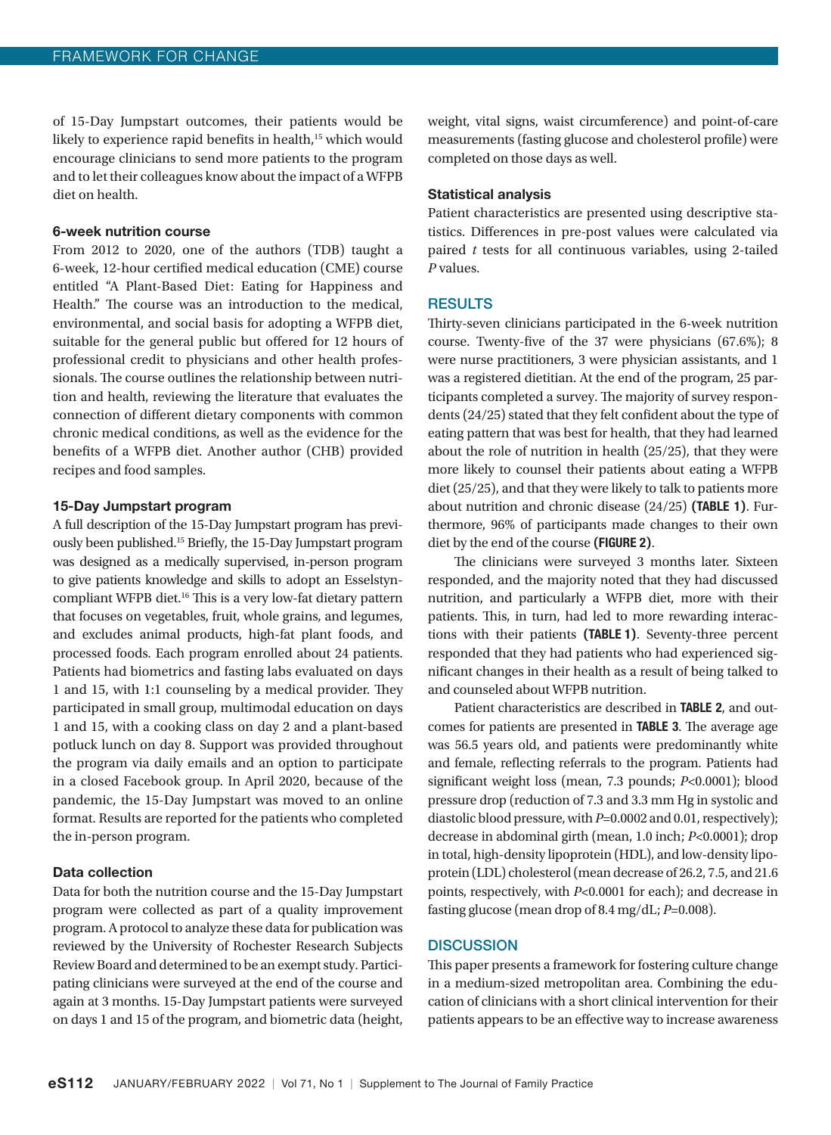of 15-Day Jumpstart outcomes, their patients would be likely to experience rapid benefits in health,<sup>15</sup> which would encourage clinicians to send more patients to the program and to let their colleagues know about the impact of a WFPB diet on health.

# 6-week nutrition course

From 2012 to 2020, one of the authors (TDB) taught a 6-week, 12-hour certified medical education (CME) course entitled "A Plant-Based Diet: Eating for Happiness and Health." The course was an introduction to the medical, environmental, and social basis for adopting a WFPB diet, suitable for the general public but offered for 12 hours of professional credit to physicians and other health professionals. The course outlines the relationship between nutrition and health, reviewing the literature that evaluates the connection of different dietary components with common chronic medical conditions, as well as the evidence for the benefits of a WFPB diet. Another author (CHB) provided recipes and food samples.

#### 15-Day Jumpstart program

A full description of the 15-Day Jumpstart program has previously been published.<sup>15</sup> Briefly, the 15-Day Jumpstart program was designed as a medically supervised, in-person program to give patients knowledge and skills to adopt an Esselstyncompliant WFPB diet.<sup>16</sup> This is a very low-fat dietary pattern that focuses on vegetables, fruit, whole grains, and legumes, and excludes animal products, high-fat plant foods, and processed foods. Each program enrolled about 24 patients. Patients had biometrics and fasting labs evaluated on days 1 and 15, with 1:1 counseling by a medical provider. They participated in small group, multimodal education on days 1 and 15, with a cooking class on day 2 and a plant-based potluck lunch on day 8. Support was provided throughout the program via daily emails and an option to participate in a closed Facebook group. In April 2020, because of the pandemic, the 15-Day Jumpstart was moved to an online format. Results are reported for the patients who completed the in-person program.

#### Data collection

Data for both the nutrition course and the 15-Day Jumpstart program were collected as part of a quality improvement program. A protocol to analyze these data for publication was reviewed by the University of Rochester Research Subjects Review Board and determined to be an exempt study. Participating clinicians were surveyed at the end of the course and again at 3 months. 15-Day Jumpstart patients were surveyed on days 1 and 15 of the program, and biometric data (height, weight, vital signs, waist circumference) and point-of-care measurements (fasting glucose and cholesterol profile) were completed on those days as well.

#### Statistical analysis

Patient characteristics are presented using descriptive statistics. Differences in pre-post values were calculated via paired *t* tests for all continuous variables, using 2-tailed *P* values.

## **RESULTS**

Thirty-seven clinicians participated in the 6-week nutrition course. Twenty-five of the 37 were physicians  $(67.6\%)$ ; 8 were nurse practitioners, 3 were physician assistants, and 1 was a registered dietitian. At the end of the program, 25 participants completed a survey. The majority of survey respondents (24/25) stated that they felt confident about the type of eating pattern that was best for health, that they had learned about the role of nutrition in health (25/25), that they were more likely to counsel their patients about eating a WFPB diet (25/25), and that they were likely to talk to patients more about nutrition and chronic disease (24/25) **(**TABLE 1**)**. Furthermore, 96% of participants made changes to their own diet by the end of the course **(**FIGURE 2**)**.

The clinicians were surveyed 3 months later. Sixteen responded, and the majority noted that they had discussed nutrition, and particularly a WFPB diet, more with their patients. This, in turn, had led to more rewarding interactions with their patients **(**TABLE 1**)**. Seventy-three percent responded that they had patients who had experienced significant changes in their health as a result of being talked to and counseled about WFPB nutrition.

Patient characteristics are described in TABLE 2, and outcomes for patients are presented in TABLE 3. The average age was 56.5 years old, and patients were predominantly white and female, reflecting referrals to the program. Patients had significant weight loss (mean, 7.3 pounds; *P*<0.0001); blood pressure drop (reduction of 7.3 and 3.3 mm Hg in systolic and diastolic blood pressure, with *P*=0.0002 and 0.01, respectively); decrease in abdominal girth (mean, 1.0 inch; *P*<0.0001); drop in total, high-density lipoprotein (HDL), and low-density lipoprotein (LDL) cholesterol (mean decrease of 26.2, 7.5, and 21.6 points, respectively, with *P*<0.0001 for each); and decrease in fasting glucose (mean drop of 8.4 mg/dL; *P*=0.008).

# **DISCUSSION**

This paper presents a framework for fostering culture change in a medium-sized metropolitan area. Combining the education of clinicians with a short clinical intervention for their patients appears to be an effective way to increase awareness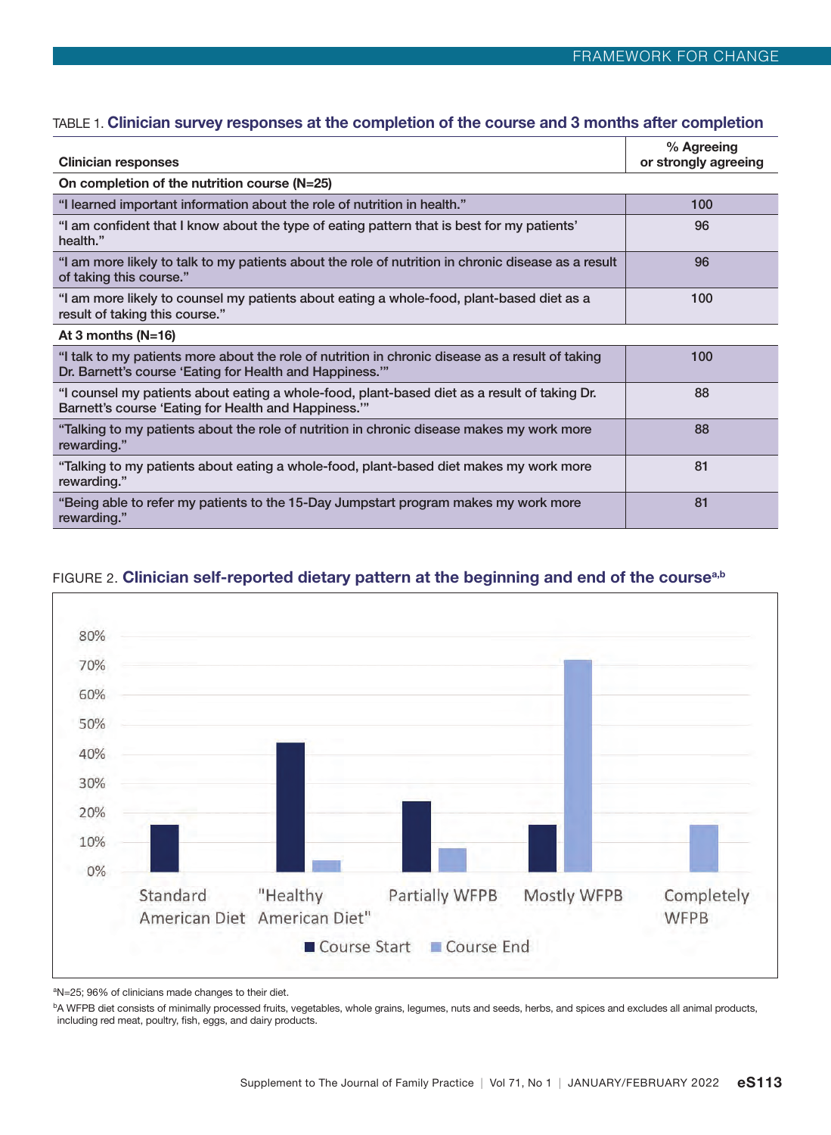# TABLE 1. Clinician survey responses at the completion of the course and 3 months after completion

| <b>Clinician responses</b>                                                                                                                                  | % Agreeing<br>or strongly agreeing |
|-------------------------------------------------------------------------------------------------------------------------------------------------------------|------------------------------------|
| On completion of the nutrition course (N=25)                                                                                                                |                                    |
| "I learned important information about the role of nutrition in health."                                                                                    | 100                                |
| "I am confident that I know about the type of eating pattern that is best for my patients'<br>health."                                                      | 96                                 |
| "I am more likely to talk to my patients about the role of nutrition in chronic disease as a result<br>of taking this course."                              | 96                                 |
| "I am more likely to counsel my patients about eating a whole-food, plant-based diet as a<br>result of taking this course."                                 | 100                                |
| At 3 months $(N=16)$                                                                                                                                        |                                    |
| "I talk to my patients more about the role of nutrition in chronic disease as a result of taking<br>Dr. Barnett's course 'Eating for Health and Happiness." | 100                                |
| "I counsel my patients about eating a whole-food, plant-based diet as a result of taking Dr.<br>Barnett's course 'Eating for Health and Happiness."         | 88                                 |
| "Talking to my patients about the role of nutrition in chronic disease makes my work more<br>rewarding."                                                    | 88                                 |
| "Talking to my patients about eating a whole-food, plant-based diet makes my work more<br>rewarding."                                                       | 81                                 |
| "Being able to refer my patients to the 15-Day Jumpstart program makes my work more<br>rewarding."                                                          | 81                                 |



# FIGURE 2. Clinician self-reported dietary pattern at the beginning and end of the course<sup>a,b</sup>

<sup>a</sup>N=25; 96% of clinicians made changes to their diet.

bA WFPB diet consists of minimally processed fruits, vegetables, whole grains, legumes, nuts and seeds, herbs, and spices and excludes all animal products, including red meat, poultry, fish, eggs, and dairy products.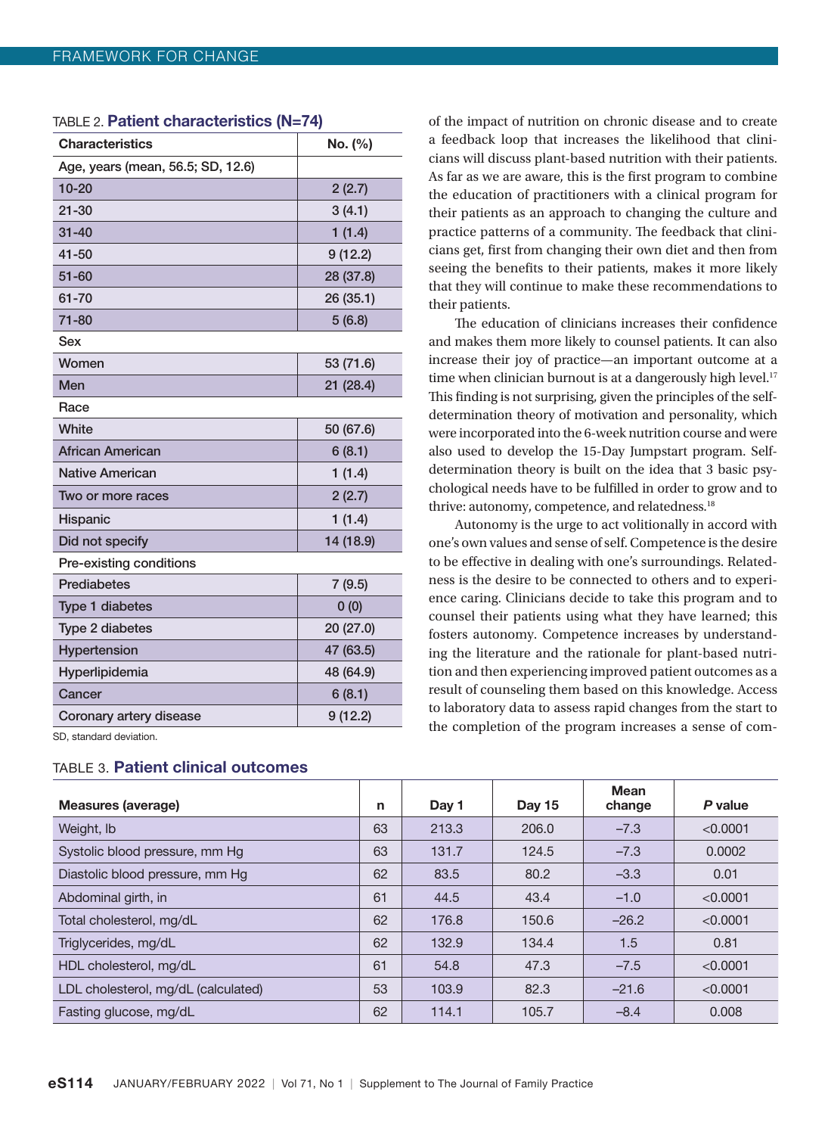| <b>Characteristics</b>            | No. (%)   |
|-----------------------------------|-----------|
| Age, years (mean, 56.5; SD, 12.6) |           |
| $10 - 20$                         | 2(2.7)    |
| $21 - 30$                         | 3(4.1)    |
| $31 - 40$                         | 1(1.4)    |
| $41 - 50$                         | 9(12.2)   |
| $51 - 60$                         | 28 (37.8) |
| 61-70                             | 26 (35.1) |
| 71-80                             | 5(6.8)    |
| Sex                               |           |
| Women                             | 53 (71.6) |
| Men                               | 21 (28.4) |
| Race                              |           |
| White                             | 50 (67.6) |
| <b>African American</b>           | 6(8.1)    |
| <b>Native American</b>            | 1(1.4)    |
| Two or more races                 | 2(2.7)    |
| Hispanic                          | 1(1.4)    |
| Did not specify                   | 14 (18.9) |
| Pre-existing conditions           |           |
| Prediabetes                       | 7(9.5)    |
| Type 1 diabetes                   | 0(0)      |
| Type 2 diabetes                   | 20 (27.0) |
| <b>Hypertension</b>               | 47 (63.5) |
| Hyperlipidemia                    | 48 (64.9) |
| Cancer                            | 6(8.1)    |
| Coronary artery disease           | 9(12.2)   |

SD, standard deviation.

# TABLE 3. Patient clinical outcomes

of the impact of nutrition on chronic disease and to create a feedback loop that increases the likelihood that clinicians will discuss plant-based nutrition with their patients. As far as we are aware, this is the first program to combine the education of practitioners with a clinical program for their patients as an approach to changing the culture and practice patterns of a community. The feedback that clinicians get, first from changing their own diet and then from seeing the benefits to their patients, makes it more likely that they will continue to make these recommendations to their patients.

The education of clinicians increases their confidence and makes them more likely to counsel patients. It can also increase their joy of practice—an important outcome at a time when clinician burnout is at a dangerously high level.<sup>17</sup> This finding is not surprising, given the principles of the selfdetermination theory of motivation and personality, which were incorporated into the 6-week nutrition course and were also used to develop the 15-Day Jumpstart program. Selfdetermination theory is built on the idea that 3 basic psychological needs have to be fulfilled in order to grow and to thrive: autonomy, competence, and relatedness.<sup>18</sup>

Autonomy is the urge to act volitionally in accord with one's own values and sense of self. Competence is the desire to be effective in dealing with one's surroundings. Relatedness is the desire to be connected to others and to experience caring. Clinicians decide to take this program and to counsel their patients using what they have learned; this fosters autonomy. Competence increases by understanding the literature and the rationale for plant-based nutrition and then experiencing improved patient outcomes as a result of counseling them based on this knowledge. Access to laboratory data to assess rapid changes from the start to the completion of the program increases a sense of com-

| <b>Measures (average)</b>           | n  | Day 1 | Day 15 | <b>Mean</b><br>change | P value  |
|-------------------------------------|----|-------|--------|-----------------------|----------|
| Weight, Ib                          | 63 | 213.3 | 206.0  | $-7.3$                | < 0.0001 |
| Systolic blood pressure, mm Hg      | 63 | 131.7 | 124.5  | $-7.3$                | 0.0002   |
| Diastolic blood pressure, mm Hg     | 62 | 83.5  | 80.2   | $-3.3$                | 0.01     |
| Abdominal girth, in                 | 61 | 44.5  | 43.4   | $-1.0$                | < 0.0001 |
| Total cholesterol, mg/dL            | 62 | 176.8 | 150.6  | $-26.2$               | < 0.0001 |
| Triglycerides, mg/dL                | 62 | 132.9 | 134.4  | 1.5                   | 0.81     |
| HDL cholesterol, mg/dL              | 61 | 54.8  | 47.3   | $-7.5$                | < 0.0001 |
| LDL cholesterol, mg/dL (calculated) | 53 | 103.9 | 82.3   | $-21.6$               | < 0.0001 |
| Fasting glucose, mg/dL              | 62 | 114.1 | 105.7  | $-8.4$                | 0.008    |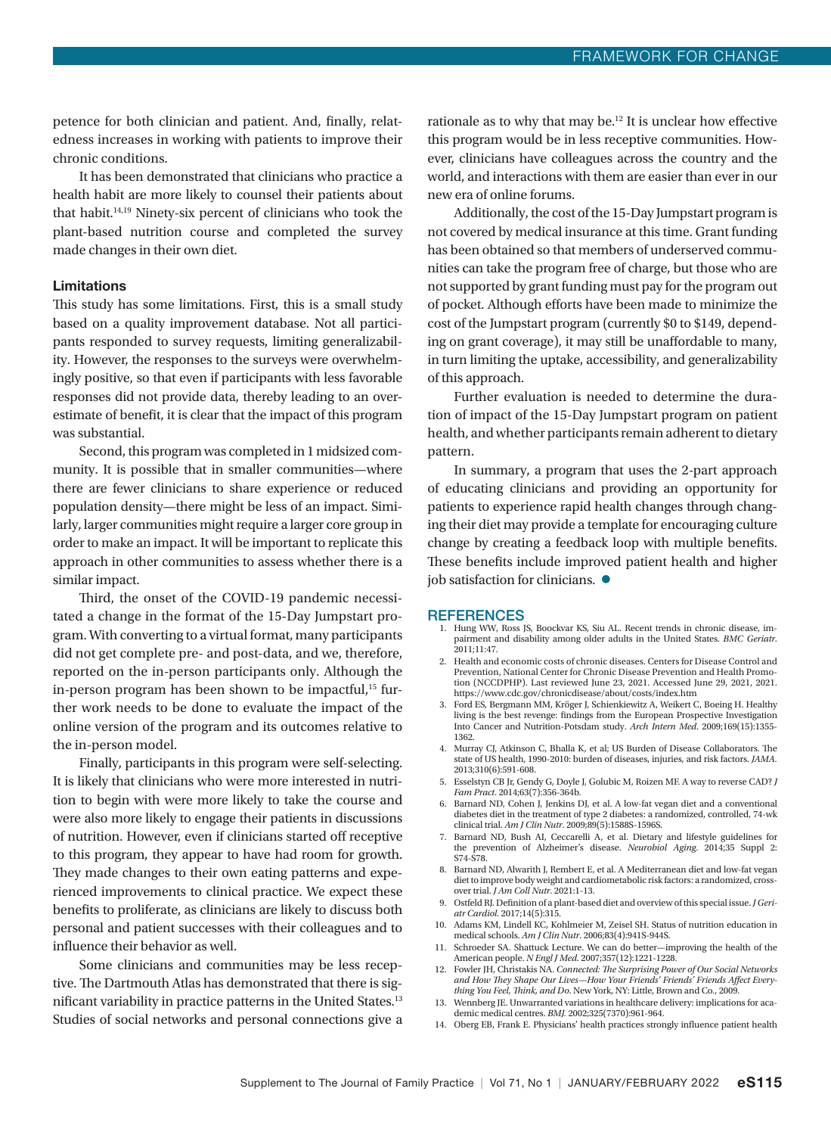petence for both clinician and patient. And, finally, relatedness increases in working with patients to improve their chronic conditions.

It has been demonstrated that clinicians who practice a health habit are more likely to counsel their patients about that habit.14,19 Ninety-six percent of clinicians who took the plant-based nutrition course and completed the survey made changes in their own diet.

#### Limitations

This study has some limitations. First, this is a small study based on a quality improvement database. Not all participants responded to survey requests, limiting generalizability. However, the responses to the surveys were overwhelmingly positive, so that even if participants with less favorable responses did not provide data, thereby leading to an overestimate of benefit, it is clear that the impact of this program was substantial.

Second, this program was completed in 1 midsized community. It is possible that in smaller communities—where there are fewer clinicians to share experience or reduced population density—there might be less of an impact. Similarly, larger communities might require a larger core group in order to make an impact. It will be important to replicate this approach in other communities to assess whether there is a similar impact.

Third, the onset of the COVID-19 pandemic necessitated a change in the format of the 15-Day Jumpstart program. With converting to a virtual format, many participants did not get complete pre- and post-data, and we, therefore, reported on the in-person participants only. Although the in-person program has been shown to be impactful,<sup>15</sup> further work needs to be done to evaluate the impact of the online version of the program and its outcomes relative to the in-person model.

Finally, participants in this program were self-selecting. It is likely that clinicians who were more interested in nutrition to begin with were more likely to take the course and were also more likely to engage their patients in discussions of nutrition. However, even if clinicians started off receptive to this program, they appear to have had room for growth. They made changes to their own eating patterns and experienced improvements to clinical practice. We expect these benefits to proliferate, as clinicians are likely to discuss both personal and patient successes with their colleagues and to influence their behavior as well.

Some clinicians and communities may be less receptive. The Dartmouth Atlas has demonstrated that there is significant variability in practice patterns in the United States.<sup>13</sup> Studies of social networks and personal connections give a rationale as to why that may be.<sup>12</sup> It is unclear how effective this program would be in less receptive communities. However, clinicians have colleagues across the country and the world, and interactions with them are easier than ever in our new era of online forums.

Additionally, the cost of the 15-Day Jumpstart program is not covered by medical insurance at this time. Grant funding has been obtained so that members of underserved communities can take the program free of charge, but those who are not supported by grant funding must pay for the program out of pocket. Although efforts have been made to minimize the cost of the Jumpstart program (currently \$0 to \$149, depending on grant coverage), it may still be unaffordable to many, in turn limiting the uptake, accessibility, and generalizability of this approach.

Further evaluation is needed to determine the duration of impact of the 15-Day Jumpstart program on patient health, and whether participants remain adherent to dietary pattern.

In summary, a program that uses the 2-part approach of educating clinicians and providing an opportunity for patients to experience rapid health changes through changing their diet may provide a template for encouraging culture change by creating a feedback loop with multiple benefits. These benefits include improved patient health and higher job satisfaction for clinicians.  $\bullet$ 

#### **REFERENCES**

- 1. Hung WW, Ross JS, Boockvar KS, Siu AL. Recent trends in chronic disease, impairment and disability among older adults in the United States. *BMC Geriatr*. 2011;11:47.
- 2. Health and economic costs of chronic diseases. Centers for Disease Control and Prevention, National Center for Chronic Disease Prevention and Health Promotion (NCCDPHP). Last reviewed June 23, 2021. Accessed June 29, 2021, 2021. https://www.cdc.gov/chronicdisease/about/costs/index.htm
- 3. Ford ES, Bergmann MM, Kröger J, Schienkiewitz A, Weikert C, Boeing H. Healthy living is the best revenge: findings from the European Prospective Investigation Into Cancer and Nutrition-Potsdam study. *Arch Intern Med*. 2009;169(15):1355- 1362.
- 4. Murray CJ, Atkinson C, Bhalla K, et al; US Burden of Disease Collaborators. The state of US health, 1990-2010: burden of diseases, injuries, and risk factors. *JAMA.*  2013;310(6):591-608.
- 5. Esselstyn CB Jr, Gendy G, Doyle J, Golubic M, Roizen MF. A way to reverse CAD? *J Fam Pract*. 2014;63(7):356-364b.
- 6. Barnard ND, Cohen J, Jenkins DJ, et al. A low-fat vegan diet and a conventional diabetes diet in the treatment of type 2 diabetes: a randomized, controlled, 74-wk clinical trial. *Am J Clin Nutr*. 2009;89(5):1588S-1596S.
- 7. Barnard ND, Bush AI, Ceccarelli A, et al. Dietary and lifestyle guidelines for the prevention of Alzheimer's disease. *Neurobiol Aging*. 2014;35 Suppl 2: S74-S78.
- 8. Barnard ND, Alwarith J, Rembert E, et al. A Mediterranean diet and low-fat vegan diet to improve body weight and cardiometabolic risk factors: a randomized, crossover trial. *J Am Coll Nutr*. 2021:1-13.
- 9. Ostfeld RJ. Definition of a plant-based diet and overview of this special issue. *J Geriatr Cardiol*. 2017;14(5):315.
- 10. Adams KM, Lindell KC, Kohlmeier M, Zeisel SH. Status of nutrition education in medical schools. *Am J Clin Nutr*. 2006;83(4):941S-944S.
- 11. Schroeder SA. Shattuck Lecture. We can do better—improving the health of the American people. *N Engl J Med*. 2007;357(12):1221-1228.
- 12. Fowler JH, Christakis NA. *Connected: !e Surprising Power of Our Social Networks and How !ey Shape Our Lives—How Your Friends' Friends' Friends A"ect Everything You Feel, !ink, and Do*. New York, NY: Little, Brown and Co., 2009.
- 13. Wennberg JE. Unwarranted variations in healthcare delivery: implications for academic medical centres. *BMJ.* 2002;325(7370):961-964.
- 14. Oberg EB, Frank E. Physicians' health practices strongly influence patient health